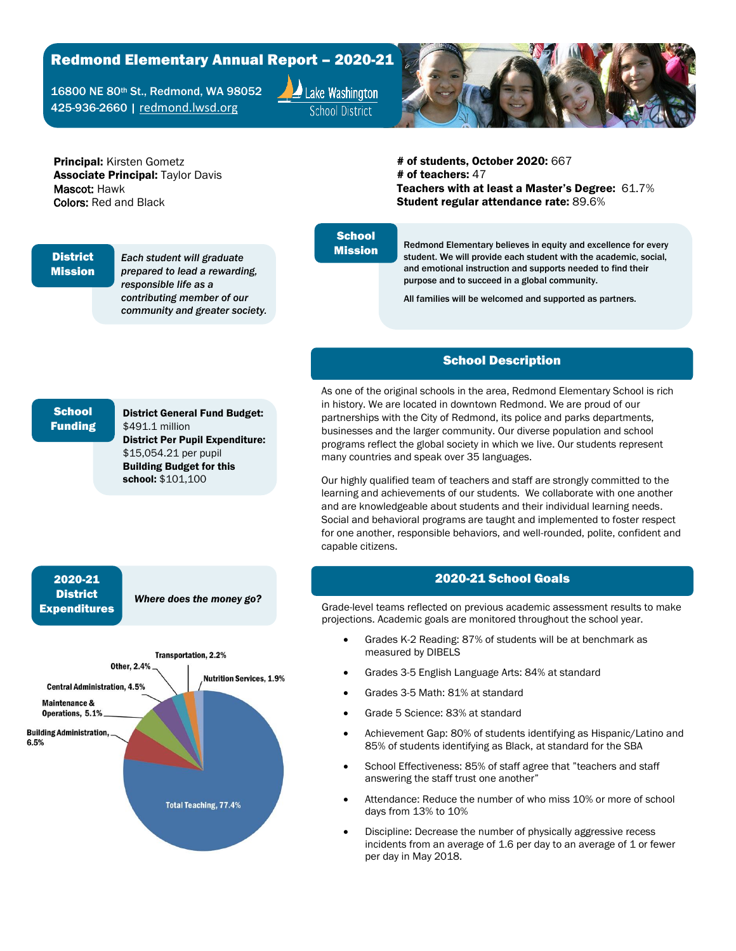# Redmond Elementary Annual Report – 2020-21

16800 NE 80th St., Redmond, WA 98052 425-936-2660 | [redmond.lwsd.org](http://redmond.lwsd.org/)



Principal: Kirsten Gometz **Associate Principal: Taylor Davis** Mascot: Hawk Colors: Red and Black

# of students, October 2020: 667 # of teachers: 47 Teachers with at least a Master's Degree: 61.7% Student regular attendance rate: 89.6%

#### **District** Mission

*Each student will graduate prepared to lead a rewarding, responsible life as a contributing member of our community and greater society.*

### **School** Mission

Redmond Elementary believes in equity and excellence for every student. We will provide each student with the academic, social, and emotional instruction and supports needed to find their purpose and to succeed in a global community.

All families will be welcomed and supported as partners.

### School Description

As one of the original schools in the area, Redmond Elementary School is rich in history. We are located in downtown Redmond. We are proud of our partnerships with the City of Redmond, its police and parks departments, businesses and the larger community. Our diverse population and school programs reflect the global society in which we live. Our students represent many countries and speak over 35 languages.

Our highly qualified team of teachers and staff are strongly committed to the learning and achievements of our students. We collaborate with one another and are knowledgeable about students and their individual learning needs. Social and behavioral programs are taught and implemented to foster respect for one another, responsible behaviors, and well-rounded, polite, confident and capable citizens.

#### 2020-21 School Goals

Grade-level teams reflected on previous academic assessment results to make projections. Academic goals are monitored throughout the school year.

- Grades K-2 Reading: 87% of students will be at benchmark as measured by DIBELS
- Grades 3-5 English Language Arts: 84% at standard
- Grades 3-5 Math: 81% at standard
- Grade 5 Science: 83% at standard
- Achievement Gap: 80% of students identifying as Hispanic/Latino and 85% of students identifying as Black, at standard for the SBA
- School Effectiveness: 85% of staff agree that "teachers and staff answering the staff trust one another"
- Attendance: Reduce the number of who miss 10% or more of school days from 13% to 10%
- Discipline: Decrease the number of physically aggressive recess incidents from an average of 1.6 per day to an average of 1 or fewer per day in May 2018.

# **School** Funding

District General Fund Budget: \$491.1 million District Per Pupil Expenditure: \$15,054.21 per pupil Building Budget for this school: \$101,100

## 2020-21 **District** Expenditures

*Where does the money go?*